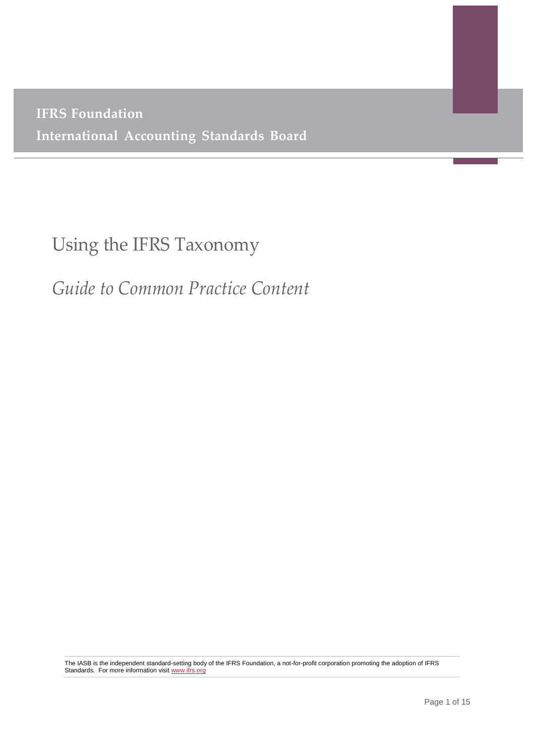**IFRS Foundation International Accounting Standards Board**

# Using the IFRS Taxonomy

**(IASB)**

*Guide to Common Practice Content*

The IASB is the independent standard-setting body of the IFRS Foundation, a not-for-profit corporation promoting the adoption of IFRS Standards. For more information visi[t www.ifrs.org](http://www.ifrs.org/)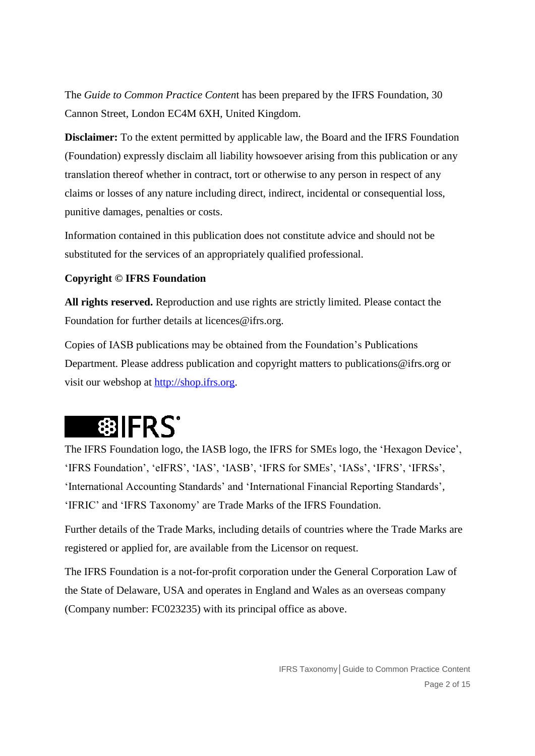The *Guide to Common Practice Conten*t has been prepared by the IFRS Foundation, 30 Cannon Street, London EC4M 6XH, United Kingdom.

**Disclaimer:** To the extent permitted by applicable law, the Board and the IFRS Foundation (Foundation) expressly disclaim all liability howsoever arising from this publication or any translation thereof whether in contract, tort or otherwise to any person in respect of any claims or losses of any nature including direct, indirect, incidental or consequential loss, punitive damages, penalties or costs.

Information contained in this publication does not constitute advice and should not be substituted for the services of an appropriately qualified professional.

# **Copyright © IFRS Foundation**

**All rights reserved.** Reproduction and use rights are strictly limited. Please contact the Foundation for further details at licences@ifrs.org.

Copies of IASB publications may be obtained from the Foundation's Publications Department. Please address publication and copyright matters to publications@ifrs.org or visit our webshop at [http://shop.ifrs.org.](http://shop.ifrs.org/)

# **翻IFRS\***

The IFRS Foundation logo, the IASB logo, the IFRS for SMEs logo, the 'Hexagon Device', 'IFRS Foundation', 'eIFRS', 'IAS', 'IASB', 'IFRS for SMEs', 'IASs', 'IFRS', 'IFRSs', 'International Accounting Standards' and 'International Financial Reporting Standards', 'IFRIC' and 'IFRS Taxonomy' are Trade Marks of the IFRS Foundation.

Further details of the Trade Marks, including details of countries where the Trade Marks are registered or applied for, are available from the Licensor on request.

The IFRS Foundation is a not-for-profit corporation under the General Corporation Law of the State of Delaware, USA and operates in England and Wales as an overseas company (Company number: FC023235) with its principal office as above.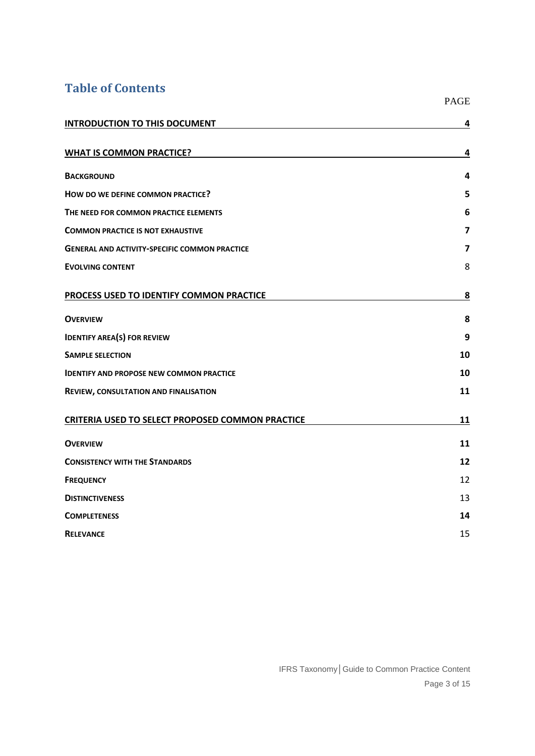# **Table of Contents**

|                                                         | <b>PAGE</b>             |
|---------------------------------------------------------|-------------------------|
| <b>INTRODUCTION TO THIS DOCUMENT</b>                    | 4                       |
| <b>WHAT IS COMMON PRACTICE?</b>                         | 4                       |
| <b>BACKGROUND</b>                                       | 4                       |
| HOW DO WE DEFINE COMMON PRACTICE?                       | 5                       |
| THE NEED FOR COMMON PRACTICE ELEMENTS                   | 6                       |
| <b>COMMON PRACTICE IS NOT EXHAUSTIVE</b>                | $\overline{\mathbf{z}}$ |
| <b>GENERAL AND ACTIVITY-SPECIFIC COMMON PRACTICE</b>    | 7                       |
| <b>EVOLVING CONTENT</b>                                 | 8                       |
| PROCESS USED TO IDENTIFY COMMON PRACTICE                | <u>8</u>                |
| <b>OVERVIEW</b>                                         | 8                       |
| <b>IDENTIFY AREA(S) FOR REVIEW</b>                      | 9                       |
| <b>SAMPLE SELECTION</b>                                 | 10                      |
| <b>IDENTIFY AND PROPOSE NEW COMMON PRACTICE</b>         | 10                      |
| REVIEW, CONSULTATION AND FINALISATION                   | 11                      |
| <b>CRITERIA USED TO SELECT PROPOSED COMMON PRACTICE</b> | 11                      |
| <b>OVERVIEW</b>                                         | 11                      |
| <b>CONSISTENCY WITH THE STANDARDS</b>                   | 12                      |
| <b>FREQUENCY</b>                                        | 12                      |
| <b>DISTINCTIVENESS</b>                                  | 13                      |
| <b>COMPLETENESS</b>                                     | 14                      |
| <b>RELEVANCE</b>                                        | 15                      |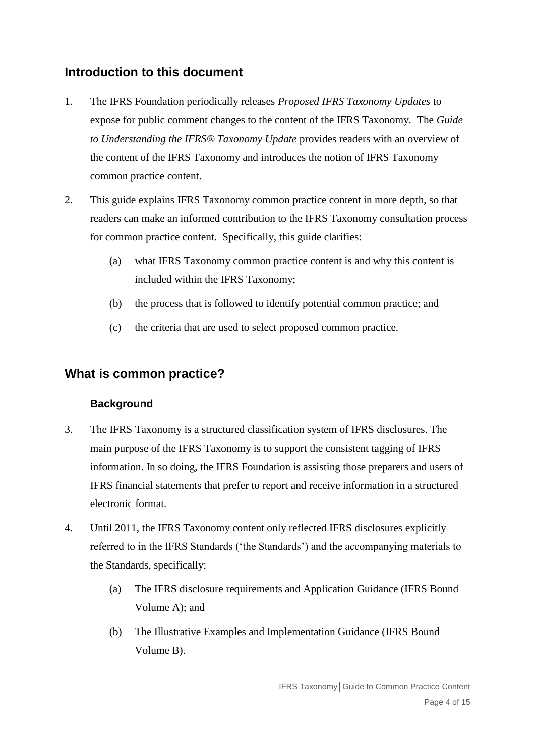# <span id="page-3-0"></span>**Introduction to this document**

- 1. The IFRS Foundation periodically releases *Proposed IFRS Taxonomy Updates* to expose for public comment changes to the content of the IFRS Taxonomy. The *Guide to Understanding the IFRS® Taxonomy Update* provides readers with an overview of the content of the IFRS Taxonomy and introduces the notion of IFRS Taxonomy common practice content.
- 2. This guide explains IFRS Taxonomy common practice content in more depth, so that readers can make an informed contribution to the IFRS Taxonomy consultation process for common practice content. Specifically, this guide clarifies:
	- (a) what IFRS Taxonomy common practice content is and why this content is included within the IFRS Taxonomy;
	- (b) the process that is followed to identify potential common practice; and
	- (c) the criteria that are used to select proposed common practice.

# <span id="page-3-1"></span>**What is common practice?**

# **Background**

- <span id="page-3-2"></span>3. The IFRS Taxonomy is a structured classification system of IFRS disclosures. The main purpose of the IFRS Taxonomy is to support the consistent tagging of IFRS information. In so doing, the IFRS Foundation is assisting those preparers and users of IFRS financial statements that prefer to report and receive information in a structured electronic format.
- 4. Until 2011, the IFRS Taxonomy content only reflected IFRS disclosures explicitly referred to in the IFRS Standards ('the Standards') and the accompanying materials to the Standards, specifically:
	- (a) The IFRS disclosure requirements and Application Guidance (IFRS Bound Volume A); and
	- (b) The Illustrative Examples and Implementation Guidance (IFRS Bound Volume B).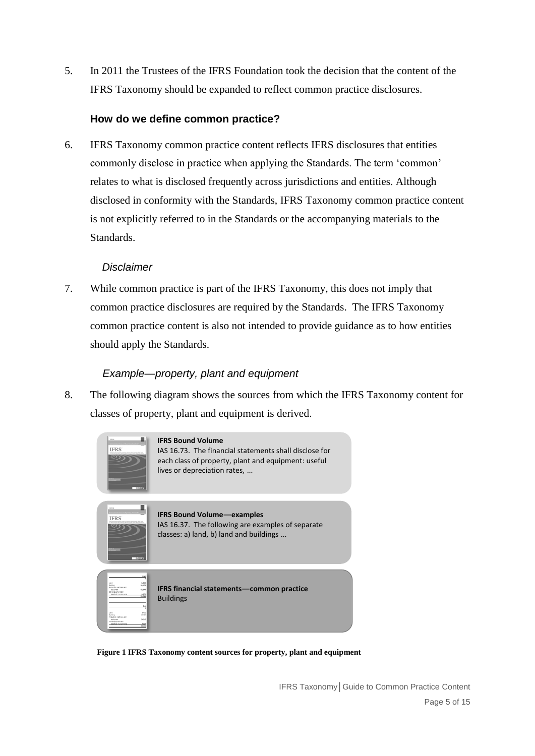5. In 2011 the Trustees of the IFRS Foundation took the decision that the content of the IFRS Taxonomy should be expanded to reflect common practice disclosures.

# <span id="page-4-0"></span>**How do we define common practice?**

<span id="page-4-1"></span>6. IFRS Taxonomy common practice content reflects IFRS disclosures that entities commonly disclose in practice when applying the Standards. The term 'common' relates to what is disclosed frequently across jurisdictions and entities. Although disclosed in conformity with the Standards, IFRS Taxonomy common practice content is not explicitly referred to in the Standards or the accompanying materials to the Standards.

#### *Disclaimer*

7. While common practice is part of the IFRS Taxonomy, this does not imply that common practice disclosures are required by the Standards. The IFRS Taxonomy common practice content is also not intended to provide guidance as to how entities should apply the Standards.

## *Example—property, plant and equipment*

8. The following diagram shows the sources from which the IFRS Taxonomy content for classes of property, plant and equipment is derived.



**Figure 1 IFRS Taxonomy content sources for property, plant and equipment**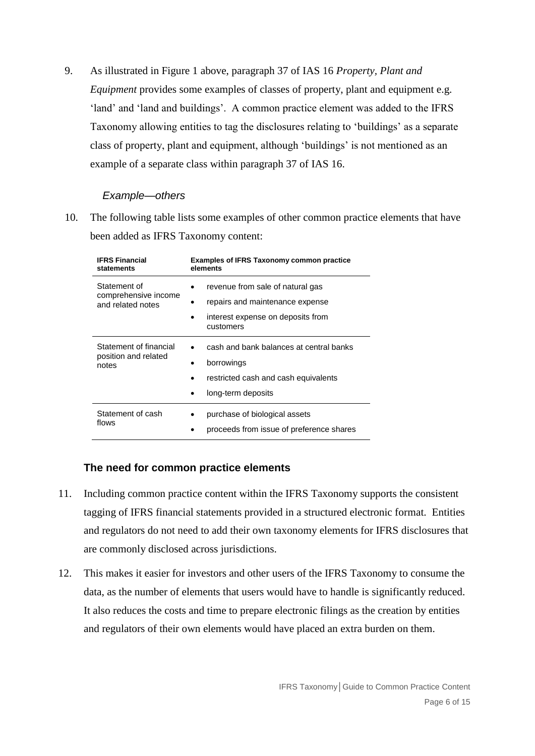9. As illustrated in Figure 1 above, paragraph 37 of IAS 16 *Property, Plant and Equipment* provides some examples of classes of property, plant and equipment e.g. 'land' and 'land and buildings'. A common practice element was added to the IFRS Taxonomy allowing entities to tag the disclosures relating to 'buildings' as a separate class of property, plant and equipment, although 'buildings' is not mentioned as an example of a separate class within paragraph 37 of IAS 16.

#### *Example—others*

10. The following table lists some examples of other common practice elements that have been added as IFRS Taxonomy content:

| <b>IFRS Financial</b>                                     | <b>Examples of IFRS Taxonomy common practice</b>                                                                      |
|-----------------------------------------------------------|-----------------------------------------------------------------------------------------------------------------------|
| statements                                                | elements                                                                                                              |
| Statement of<br>comprehensive income<br>and related notes | revenue from sale of natural gas<br>repairs and maintenance expense<br>interest expense on deposits from<br>customers |
| Statement of financial<br>position and related<br>notes   | cash and bank balances at central banks<br>borrowings<br>restricted cash and cash equivalents<br>long-term deposits   |
| Statement of cash                                         | purchase of biological assets                                                                                         |
| flows                                                     | proceeds from issue of preference shares                                                                              |

# <span id="page-5-0"></span>**The need for common practice elements**

- 11. Including common practice content within the IFRS Taxonomy supports the consistent tagging of IFRS financial statements provided in a structured electronic format. Entities and regulators do not need to add their own taxonomy elements for IFRS disclosures that are commonly disclosed across jurisdictions.
- 12. This makes it easier for investors and other users of the IFRS Taxonomy to consume the data, as the number of elements that users would have to handle is significantly reduced. It also reduces the costs and time to prepare electronic filings as the creation by entities and regulators of their own elements would have placed an extra burden on them.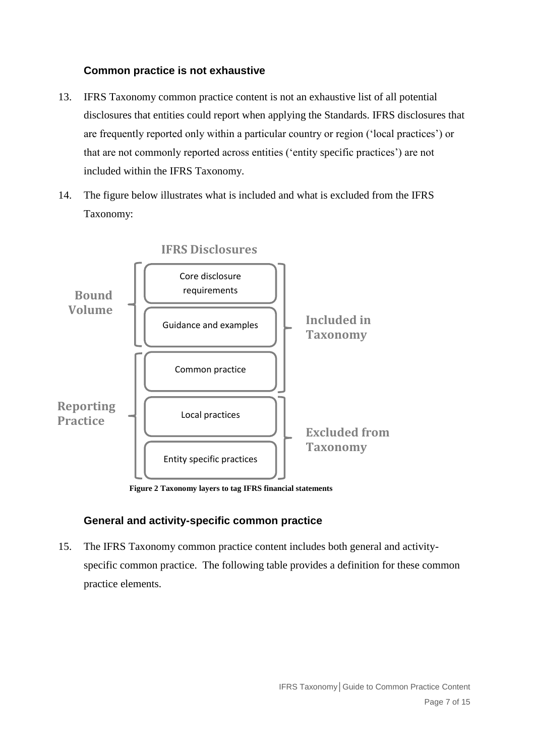# <span id="page-6-0"></span>**Common practice is not exhaustive**

- 13. IFRS Taxonomy common practice content is not an exhaustive list of all potential disclosures that entities could report when applying the Standards. IFRS disclosures that are frequently reported only within a particular country or region ('local practices') or that are not commonly reported across entities ('entity specific practices') are not included within the IFRS Taxonomy.
- 14. The figure below illustrates what is included and what is excluded from the IFRS Taxonomy:



**Figure 2 Taxonomy layers to tag IFRS financial statements**

# <span id="page-6-1"></span>**General and activity-specific common practice**

15. The IFRS Taxonomy common practice content includes both general and activityspecific common practice. The following table provides a definition for these common practice elements.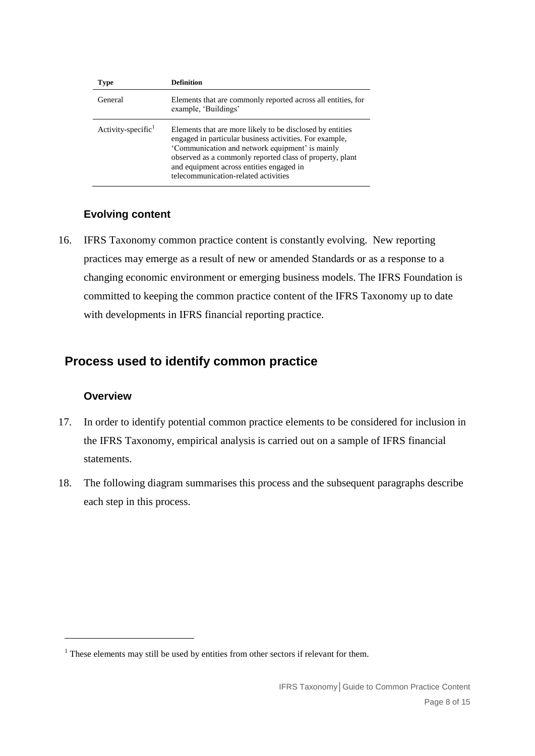| Type                  | Definition                                                                                                                                                                                                                                                                                                              |
|-----------------------|-------------------------------------------------------------------------------------------------------------------------------------------------------------------------------------------------------------------------------------------------------------------------------------------------------------------------|
| General               | Elements that are commonly reported across all entities, for<br>example, 'Buildings'                                                                                                                                                                                                                                    |
| Activity-specific $1$ | Elements that are more likely to be disclosed by entities<br>engaged in particular business activities. For example,<br>'Communication and network equipment' is mainly<br>observed as a commonly reported class of property, plant<br>and equipment across entities engaged in<br>telecommunication-related activities |

# <span id="page-7-0"></span>**Evolving content**

16. IFRS Taxonomy common practice content is constantly evolving. New reporting practices may emerge as a result of new or amended Standards or as a response to a changing economic environment or emerging business models. The IFRS Foundation is committed to keeping the common practice content of the IFRS Taxonomy up to date with developments in IFRS financial reporting practice.

# **Process used to identify common practice**

# <span id="page-7-2"></span><span id="page-7-1"></span>**Overview**

1

- 17. In order to identify potential common practice elements to be considered for inclusion in the IFRS Taxonomy, empirical analysis is carried out on a sample of IFRS financial statements.
- 18. The following diagram summarises this process and the subsequent paragraphs describe each step in this process.

<sup>&</sup>lt;sup>1</sup> These elements may still be used by entities from other sectors if relevant for them.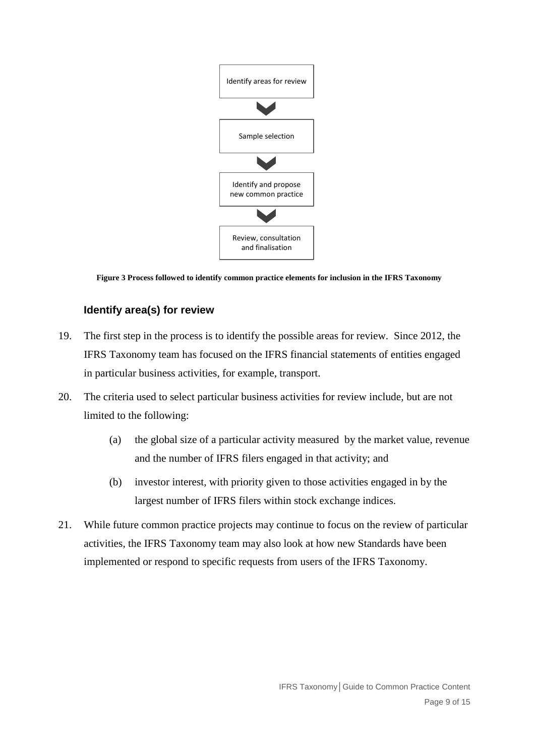

**Figure 3 Process followed to identify common practice elements for inclusion in the IFRS Taxonomy** 

# <span id="page-8-0"></span>**Identify area(s) for review**

- 19. The first step in the process is to identify the possible areas for review. Since 2012, the IFRS Taxonomy team has focused on the IFRS financial statements of entities engaged in particular business activities, for example, transport.
- 20. The criteria used to select particular business activities for review include, but are not limited to the following:
	- (a) the global size of a particular activity measured by the market value, revenue and the number of IFRS filers engaged in that activity; and
	- (b) investor interest, with priority given to those activities engaged in by the largest number of IFRS filers within stock exchange indices.
- 21. While future common practice projects may continue to focus on the review of particular activities, the IFRS Taxonomy team may also look at how new Standards have been implemented or respond to specific requests from users of the IFRS Taxonomy.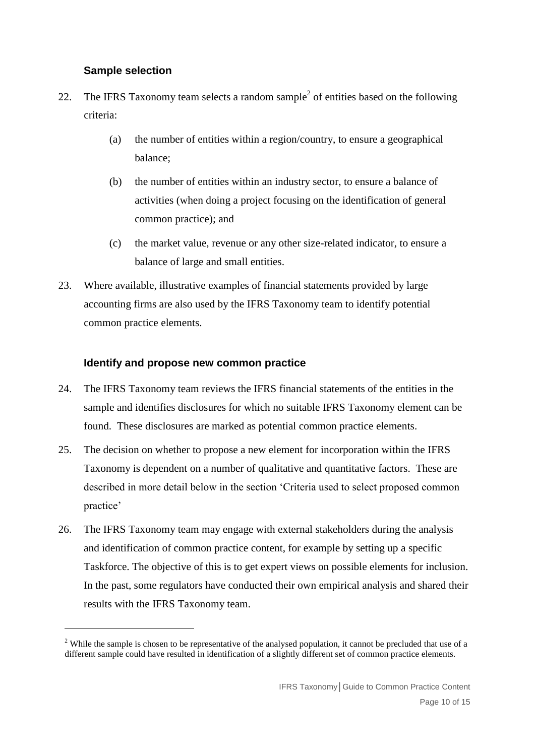# <span id="page-9-0"></span>**Sample selection**

1

- 22. The IFRS Taxonomy team selects a random sample<sup>2</sup> of entities based on the following criteria:
	- (a) the number of entities within a region/country, to ensure a geographical balance;
	- (b) the number of entities within an industry sector, to ensure a balance of activities (when doing a project focusing on the identification of general common practice); and
	- (c) the market value, revenue or any other size-related indicator, to ensure a balance of large and small entities.
- 23. Where available, illustrative examples of financial statements provided by large accounting firms are also used by the IFRS Taxonomy team to identify potential common practice elements.

#### <span id="page-9-1"></span>**Identify and propose new common practice**

- 24. The IFRS Taxonomy team reviews the IFRS financial statements of the entities in the sample and identifies disclosures for which no suitable IFRS Taxonomy element can be found. These disclosures are marked as potential common practice elements.
- <span id="page-9-2"></span>25. The decision on whether to propose a new element for incorporation within the IFRS Taxonomy is dependent on a number of qualitative and quantitative factors. These are described in more detail below in the section 'Criteria used to select proposed common practice'
- 26. The IFRS Taxonomy team may engage with external stakeholders during the analysis and identification of common practice content, for example by setting up a specific Taskforce. The objective of this is to get expert views on possible elements for inclusion. In the past, some regulators have conducted their own empirical analysis and shared their results with the IFRS Taxonomy team.

<sup>&</sup>lt;sup>2</sup> While the sample is chosen to be representative of the analysed population, it cannot be precluded that use of a different sample could have resulted in identification of a slightly different set of common practice elements.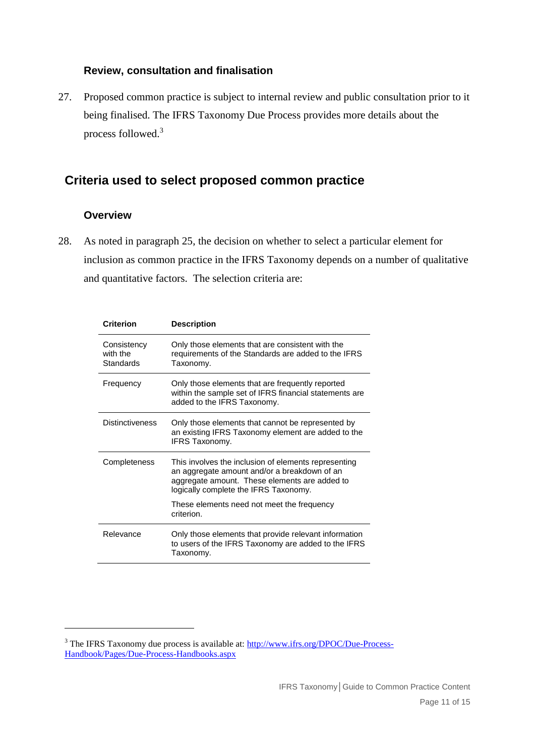# <span id="page-10-0"></span>**Review, consultation and finalisation**

27. Proposed common practice is subject to internal review and public consultation prior to it being finalised. The IFRS Taxonomy Due Process provides more details about the process followed.<sup>3</sup>

# <span id="page-10-1"></span>**Criteria used to select proposed common practice**

### <span id="page-10-2"></span>**Overview**

1

28. As noted in paragraph [25,](#page-9-2) the decision on whether to select a particular element for inclusion as common practice in the IFRS Taxonomy depends on a number of qualitative and quantitative factors. The selection criteria are:

| <b>Criterion</b>                     | <b>Description</b>                                                                                                                                                                             |
|--------------------------------------|------------------------------------------------------------------------------------------------------------------------------------------------------------------------------------------------|
| Consistency<br>with the<br>Standards | Only those elements that are consistent with the<br>requirements of the Standards are added to the IFRS<br>Taxonomy.                                                                           |
| Frequency                            | Only those elements that are frequently reported<br>within the sample set of IFRS financial statements are<br>added to the IFRS Taxonomy.                                                      |
| <b>Distinctiveness</b>               | Only those elements that cannot be represented by<br>an existing IFRS Taxonomy element are added to the<br><b>IFRS Taxonomy.</b>                                                               |
| Completeness                         | This involves the inclusion of elements representing<br>an aggregate amount and/or a breakdown of an<br>aggregate amount. These elements are added to<br>logically complete the IFRS Taxonomy. |
|                                      | These elements need not meet the frequency<br>criterion.                                                                                                                                       |
| Relevance                            | Only those elements that provide relevant information<br>to users of the IFRS Taxonomy are added to the IFRS<br>Taxonomy.                                                                      |

<sup>&</sup>lt;sup>3</sup> The IFRS Taxonomy due process is available at: [http://www.ifrs.org/DPOC/Due-Process-](http://www.ifrs.org/DPOC/Due-Process-Handbook/Pages/Due-Process-Handbooks.aspx)[Handbook/Pages/Due-Process-Handbooks.aspx](http://www.ifrs.org/DPOC/Due-Process-Handbook/Pages/Due-Process-Handbooks.aspx)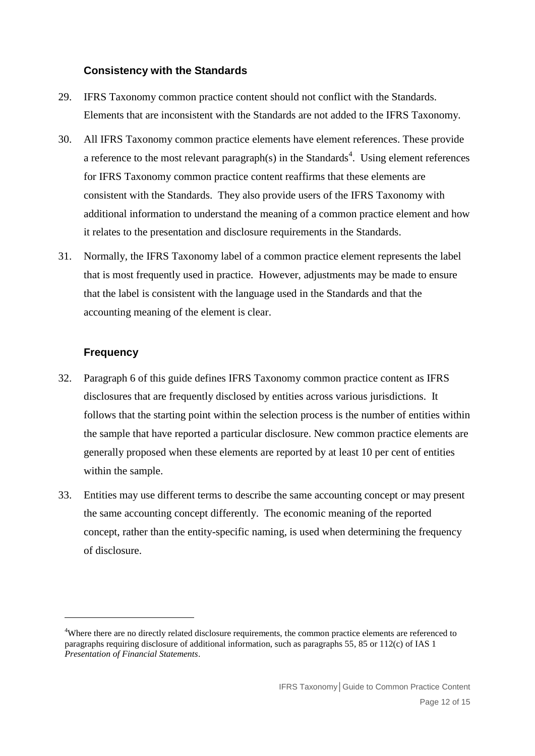#### <span id="page-11-0"></span>**Consistency with the Standards**

- 29. IFRS Taxonomy common practice content should not conflict with the Standards. Elements that are inconsistent with the Standards are not added to the IFRS Taxonomy.
- 30. All IFRS Taxonomy common practice elements have element references. These provide a reference to the most relevant paragraph(s) in the Standards<sup>4</sup>. Using element references for IFRS Taxonomy common practice content reaffirms that these elements are consistent with the Standards. They also provide users of the IFRS Taxonomy with additional information to understand the meaning of a common practice element and how it relates to the presentation and disclosure requirements in the Standards.
- 31. Normally, the IFRS Taxonomy label of a common practice element represents the label that is most frequently used in practice. However, adjustments may be made to ensure that the label is consistent with the language used in the Standards and that the accounting meaning of the element is clear.

# <span id="page-11-1"></span>**Frequency**

<u>.</u>

- 32. Paragraph [6](#page-4-1) of this guide defines IFRS Taxonomy common practice content as IFRS disclosures that are frequently disclosed by entities across various jurisdictions. It follows that the starting point within the selection process is the number of entities within the sample that have reported a particular disclosure. New common practice elements are generally proposed when these elements are reported by at least 10 per cent of entities within the sample.
- 33. Entities may use different terms to describe the same accounting concept or may present the same accounting concept differently. The economic meaning of the reported concept, rather than the entity-specific naming, is used when determining the frequency of disclosure.

<sup>&</sup>lt;sup>4</sup>Where there are no directly related disclosure requirements, the common practice elements are referenced to paragraphs requiring disclosure of additional information, such as paragraphs 55, 85 or 112(c) of IAS 1 *Presentation of Financial Statements*.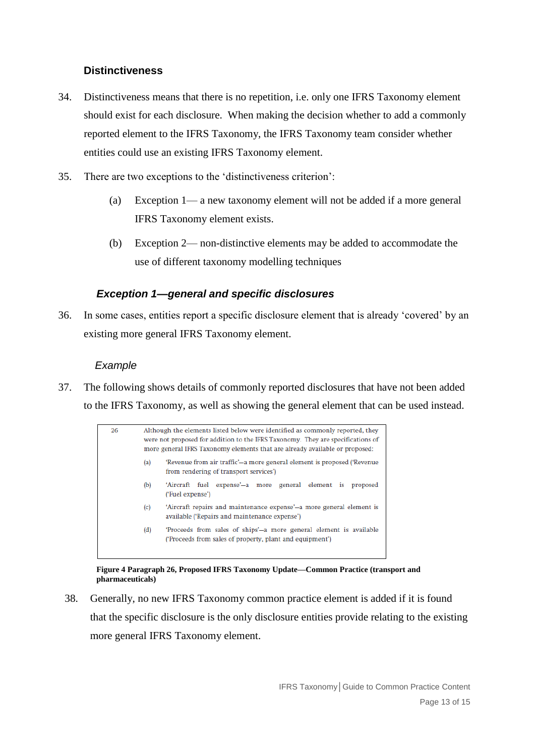# <span id="page-12-0"></span>**Distinctiveness**

- 34. Distinctiveness means that there is no repetition, i.e. only one IFRS Taxonomy element should exist for each disclosure. When making the decision whether to add a commonly reported element to the IFRS Taxonomy, the IFRS Taxonomy team consider whether entities could use an existing IFRS Taxonomy element.
- 35. There are two exceptions to the 'distinctiveness criterion':
	- (a) Exception 1— a new taxonomy element will not be added if a more general IFRS Taxonomy element exists.
	- (b) Exception 2— non-distinctive elements may be added to accommodate the use of different taxonomy modelling techniques

# *Exception 1—general and specific disclosures*

36. In some cases, entities report a specific disclosure element that is already 'covered' by an existing more general IFRS Taxonomy element.

# *Example*

37. The following shows details of commonly reported disclosures that have not been added to the IFRS Taxonomy, as well as showing the general element that can be used instead.



**Figure 4 Paragraph 26, Proposed IFRS Taxonomy Update—Common Practice (transport and pharmaceuticals)**

38. Generally, no new IFRS Taxonomy common practice element is added if it is found that the specific disclosure is the only disclosure entities provide relating to the existing more general IFRS Taxonomy element.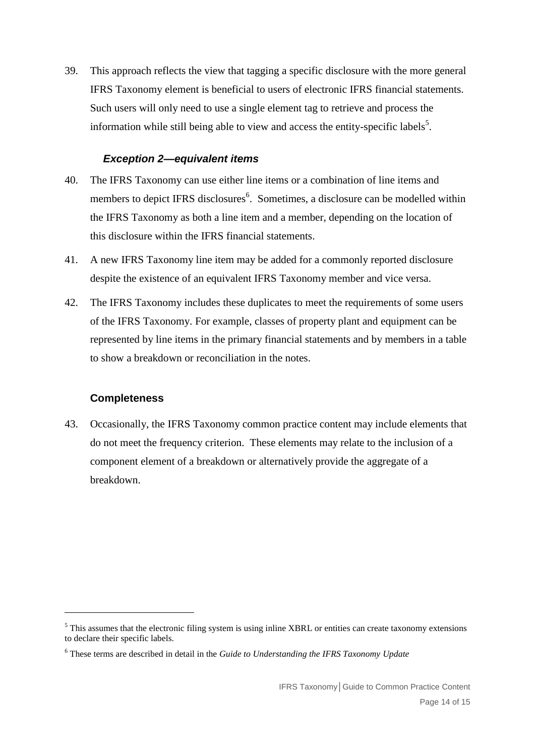39. This approach reflects the view that tagging a specific disclosure with the more general IFRS Taxonomy element is beneficial to users of electronic IFRS financial statements. Such users will only need to use a single element tag to retrieve and process the information while still being able to view and access the entity-specific labels<sup>5</sup>.

# *Exception 2—equivalent items*

- 40. The IFRS Taxonomy can use either line items or a combination of line items and members to depict IFRS disclosures<sup>6</sup>. Sometimes, a disclosure can be modelled within the IFRS Taxonomy as both a line item and a member, depending on the location of this disclosure within the IFRS financial statements.
- 41. A new IFRS Taxonomy line item may be added for a commonly reported disclosure despite the existence of an equivalent IFRS Taxonomy member and vice versa.
- 42. The IFRS Taxonomy includes these duplicates to meet the requirements of some users of the IFRS Taxonomy. For example, classes of property plant and equipment can be represented by line items in the primary financial statements and by members in a table to show a breakdown or reconciliation in the notes.

#### <span id="page-13-0"></span>**Completeness**

<u>.</u>

43. Occasionally, the IFRS Taxonomy common practice content may include elements that do not meet the frequency criterion. These elements may relate to the inclusion of a component element of a breakdown or alternatively provide the aggregate of a breakdown.

<sup>&</sup>lt;sup>5</sup> This assumes that the electronic filing system is using inline XBRL or entities can create taxonomy extensions to declare their specific labels.

<sup>6</sup> These terms are described in detail in the *Guide to Understanding the IFRS Taxonomy Update*